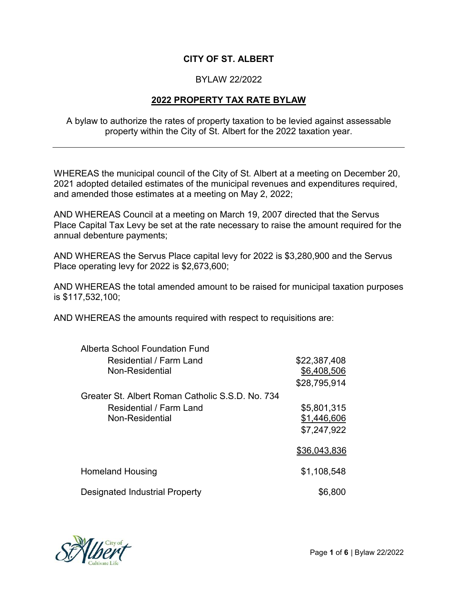## CITY OF ST. ALBERT

#### BYLAW 22/2022

## 2022 PROPERTY TAX RATE BYLAW

A bylaw to authorize the rates of property taxation to be levied against assessable property within the City of St. Albert for the 2022 taxation year.

CITY OF ST. ALBERT<br>
BYLAW 22/2022<br>
2022 PROPERTY TAX RATE BYLAW<br>
A bylaw to authorize the rates of property taxation to be levied against assessable<br>
property within the City of St. Albert for the 2022 taxation year.<br>
WHER 2021 adopted detailed estimates of the municipal revenues and expenditures required,

CITY OF ST. ALBERT<br>
BYLAW 22/2022<br>
2022 PROPERTY TAX RATE BYLAW<br>
A bylaw to authorize the rates of property taxation to be levied against assessable<br>
property within the City of St. Albert for the 2022 taxation year.<br>
2021 AND WHEREAS Council at a meeting on March 19, 2007 directed that the Servus Place Capital Tax Levy be set at the rate necessary to raise the amount required for the annual debenture payments; BYLAW 22/2022<br>
BYLAW 22/2022<br>
2022 PROPERTY TAX RATE BYLAW<br>
A bylaw to authorize the rates of property taxation to be levied against assessable<br>
property within the City of St. Albert for the 2022 taxation year.<br>
2021 adop

Place operating levy for 2022 is \$2,673,600;

AND WHEREAS the total amended amount to be raised for municipal taxation purposes is \$117,532,100;

AND WHEREAS the amounts required with respect to requisitions are:

| Alberta School Foundation Fund                   |              |  |
|--------------------------------------------------|--------------|--|
| Residential / Farm Land                          | \$22,387,408 |  |
| Non-Residential                                  | \$6,408,506  |  |
|                                                  | \$28,795,914 |  |
| Greater St. Albert Roman Catholic S.S.D. No. 734 |              |  |
| Residential / Farm Land                          | \$5,801,315  |  |
| Non-Residential                                  | \$1,446,606  |  |
|                                                  | \$7,247,922  |  |
|                                                  | \$36,043,836 |  |
| <b>Homeland Housing</b>                          | \$1,108,548  |  |
| <b>Designated Industrial Property</b>            | \$6,800      |  |

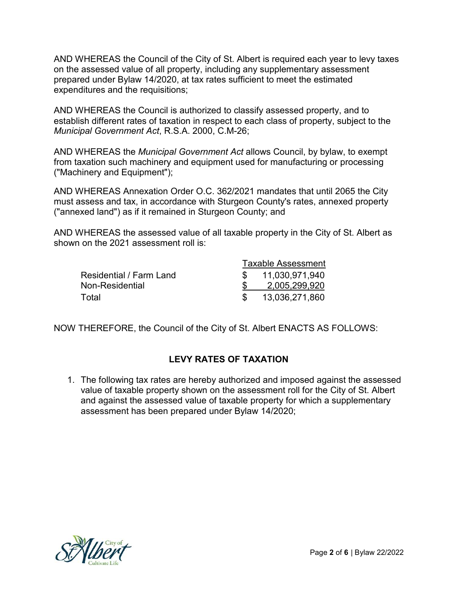AND WHEREAS the Council of the City of St. Albert is required each year to levy taxes on the assessed value of all property, including any supplementary assessment AND WHEREAS the Council of the City of St. Albert is required each year to levy taxes<br>on the assessed value of all property, including any supplementary assessment<br>prepared under Bylaw 14/2020, at tax rates sufficient to m expenditures and the requisitions; AND WHEREAS the Council of the City of St. Albert is required each year to levy taxes<br>on the assessed value of all property, including any supplementary assessment<br>prepared under Bylaw 14/2020, at tax rates sufficient to m AND WHEREAS the Council of the City of St. Albert is required each year to levy taxes<br>on the assessed value of all property, including any supplementary assessment<br>experad under Bylav 14/2020, at lax rates sufficient to me AND WHEREAS the Council of the City of St. Albert is required each year to levy<br>on the assessed value of all property, including any supplementary assessment<br>prepared under Bylaw 14/2020, at tax rates sufficient to meet t

AND WHEREAS the Council is authorized to classify assessed property, and to establish different rates of taxation in respect to each class of property, subject to the Municipal Government Act, R.S.A. 2000, C.M-26;

from taxation such machinery and equipment used for manufacturing or processing ("Machinery and Equipment");

must assess and tax, in accordance with Sturgeon County's rates, annexed property ("annexed land") as if it remained in Sturgeon County; and Municipal Covernment Act allows Council, by bylaw, to exempt<br>
AND WHEREAS the *Municipal Government Act* allows Council, by bylaw, to exempt<br>
from taxation such machinery and equipment used for manufacturing or processing<br>

AND WHEREAS the assessed value of all taxable property in the City of St. Albert as

| <u>cu unuci Dylaw 14/2020, at tax rates sunicient to nicet the estimated</u><br>ditures and the requisitions;                                                                                                    |                                  |  |  |  |  |  |
|------------------------------------------------------------------------------------------------------------------------------------------------------------------------------------------------------------------|----------------------------------|--|--|--|--|--|
| VHEREAS the Council is authorized to classify assessed property, and to<br>ish different rates of taxation in respect to each class of property, subject to the<br>ipal Government Act, R.S.A. 2000, C.M-26;     |                                  |  |  |  |  |  |
| VHEREAS the <i>Municipal Government Act</i> allows Council, by bylaw, to exempt<br>axation such machinery and equipment used for manufacturing or processing<br>ninery and Equipment");                          |                                  |  |  |  |  |  |
| VHEREAS Annexation Order O.C. 362/2021 mandates that until 2065 the City<br>issess and tax, in accordance with Sturgeon County's rates, annexed property<br>xed land") as if it remained in Sturgeon County; and |                                  |  |  |  |  |  |
| VHEREAS the assessed value of all taxable property in the City of St. Albert as<br>on the 2021 assessment roll is:                                                                                               |                                  |  |  |  |  |  |
|                                                                                                                                                                                                                  | <b>Taxable Assessment</b>        |  |  |  |  |  |
| <b>Residential / Farm Land</b>                                                                                                                                                                                   | \$<br>11,030,971,940             |  |  |  |  |  |
| Non-Residential                                                                                                                                                                                                  | 2,005,299,920<br>\$              |  |  |  |  |  |
| Total                                                                                                                                                                                                            | $\mathfrak{L}$<br>13,036,271,860 |  |  |  |  |  |
| THEREFORE, the Council of the City of St. Albert ENACTS AS FOLLOWS:                                                                                                                                              |                                  |  |  |  |  |  |

# LEVY RATES OF TAXATION

1. DWHEREAS Annexation Order O.C. 362/2021 mandates that until 2065 the City<br>
1. The following tax rates are hereby Structure with Sturgeon County's rates, annexed property<br>
1. DWHEREAS the assessed value of all taxable p value of taxable property shown on the assessment roll for the City of St. Albert and against the assessed value of taxable property for which a supplementary assessment has been prepared under Bylaw 14/2020;

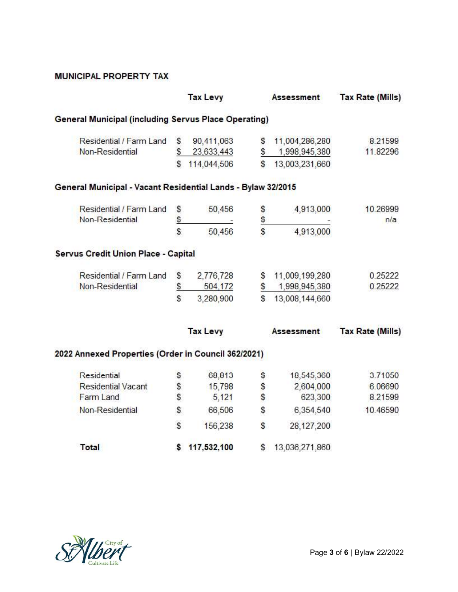## MUNICIPAL PROPERTY TAX

|                                                              |                 | <b>Tax Levy</b> |               | <b>Assessment</b> | <b>Tax Rate (Mills)</b> |
|--------------------------------------------------------------|-----------------|-----------------|---------------|-------------------|-------------------------|
| <b>General Municipal (including Servus Place Operating)</b>  |                 |                 |               |                   |                         |
| Residential / Farm Land                                      | \$              | 90,411,063      | \$            | 11,004,286,280    | 8.21599                 |
| Non-Residential                                              | \$              | 23,633,443      |               | \$ 1,998,945,380  | 11.82296                |
|                                                              | \$              | 114,044,506     | Ŝ             | 13,003,231,660    |                         |
| General Municipal - Vacant Residential Lands - Bylaw 32/2015 |                 |                 |               |                   |                         |
| Residential / Farm Land                                      | \$              | 50,456          | \$            | 4,913,000         | 10.26999                |
| Non-Residential                                              | S               |                 | $\frac{1}{3}$ |                   | n/a                     |
|                                                              | Ŝ.              | 50,456          |               | 4,913,000         |                         |
| Servus Credit Union Place - Capital                          |                 |                 |               |                   |                         |
| Residential / Farm Land                                      | \$              | 2,776,728       | \$            | 11,009,199,280    | 0.25222                 |
| Non-Residential                                              | $\frac{1}{2}$   | 504,172         | \$            | 1,998,945,380     | 0.25222                 |
|                                                              | \$              | 3,280,900       | \$            | 13,008,144,660    |                         |
|                                                              | <b>Tax Levy</b> |                 |               | <b>Assessment</b> | <b>Tax Rate (Mills)</b> |
| 2022 Annexed Properties (Order in Council 362/2021)          |                 |                 |               |                   |                         |
| Residential                                                  | \$              | 68,813          | \$            | 18,545,360        | 3.71050                 |
| <b>Residential Vacant</b>                                    | \$              | 15,798          |               | 2,604,000         | 6.06690                 |
| Farm Land                                                    | \$              | 5,121           | <b>99 69</b>  | 623,300           | 8.21599                 |
| Non-Residential                                              | \$              | 66,506          | \$            | 6,354,540         | 10.46590                |
|                                                              | \$              | 156,238         | \$            | 28,127,200        |                         |
| <b>Total</b>                                                 | \$              | 117,532,100     | \$            | 13,036,271,860    |                         |

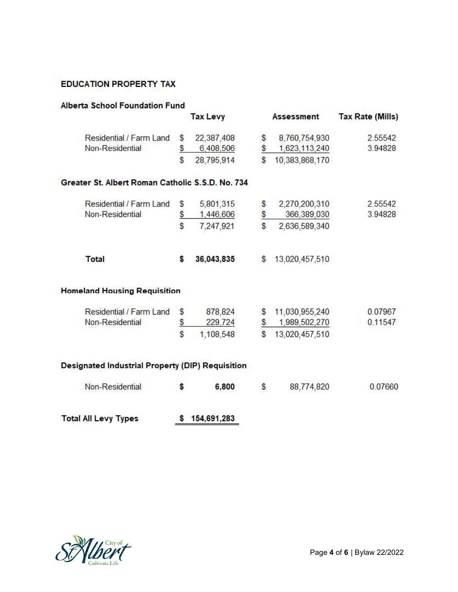## **EDUCATION PROPERTY TAX**

#### **Alberta School Foundation Fund**

|                                                  |               | <b>Tax Levy</b> |               | Assessment     | Tax Rate (Mills) |
|--------------------------------------------------|---------------|-----------------|---------------|----------------|------------------|
| Residential / Farm Land                          | \$            | 22,387,408      | \$            | 8,760,754,930  | 2.55542          |
| Non-Residential                                  | \$            | 6,408,506       | \$            | 1,623,113,240  | 3.94828          |
|                                                  | Ŝ             | 28,795,914      | \$            | 10,383,868,170 |                  |
| Greater St. Albert Roman Catholic S.S.D. No. 734 |               |                 |               |                |                  |
| Residential / Farm Land                          | \$            | 5,801,315       |               | 2,270,200,310  | 2.55542          |
| Non-Residential                                  | $\frac{1}{s}$ | 1,446,606       | $\frac{1}{3}$ | 366,389,030    | 3.94828          |
|                                                  |               | 7,247,921       |               | 2,636,589,340  |                  |
| <b>Total</b>                                     | \$            | 36,043,835      | s             | 13,020,457,510 |                  |
| <b>Homeland Housing Requisition</b>              |               |                 |               |                |                  |
| Residential / Farm Land                          | \$            | 878,824         | \$            | 11,030,955,240 | 0.07967          |
| Non-Residential                                  | <b>S</b><br>S | 229,724         | $\mathbb{S}$  | 1,989,502,270  | 0.11547          |
|                                                  |               | 1,108,548       | \$            | 13,020,457,510 |                  |
| Designated Industrial Property (DIP) Requisition |               |                 |               |                |                  |
| Non-Residential                                  | s             | 6,800           | S             | 88,774,820     | 0.07660          |
| <b>Total All Levy Types</b>                      | \$            | 154,691,283     |               |                |                  |

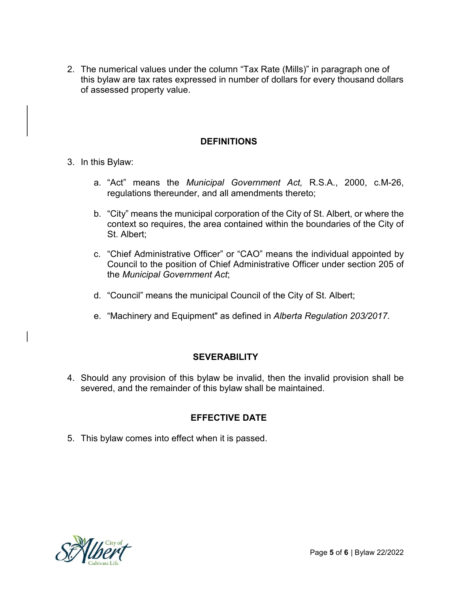2. The numerical values under the column "Tax Rate (Mills)" in paragraph one of this bylaw are tax rates expressed in number of dollars for every thousand dollars of assessed property value. this bylaw are tax rates expressed in number of dollars for every thousand dollars of assessed property value. 2. The numerical values under the column "Tax Rate (Mills)" in p<br>this bylaw are tax rates expressed in number of dollars for eve<br>of assessed property value.<br> $\blacksquare$ <br> $\blacksquare$ <br>DEFINITIONS<br>3. In this Bylaw:<br>a. "Act" means the Funder of all the Municipal Government Act, R.S.A., 2000, c.M-26, and the Municipal Government Act, R.S.A., 2000, c.M-26, regulations thereunder, and all amendments thereto;<br>b. "City" means the Municipal Government Act, R.

## DEFINITIONS

- - regulations thereunder, and all amendments thereto;
- b. "Chief Administrative Officer" or "CAO" means the individual appointed by<br>
Support the municipal covernment Act, R.S.A., 2000, c.M-26,<br>
Fis Bylaw:<br>
a. "Act" means the *Municipal Government Act*, R.S.A., 2000, c.M-26,<br>
r merical values under the column "Tax Rate (Mills)" in paragraph one of<br>taw are tax rates expressed in number of dollars for every thousand dollars<br>ssed property value.<br>DEFINITIONS<br>"City" means the *Municipal Government Act* St. Albert; e numerical values under the column "Tax Rate (Mills)" in paragraph one of<br>
bylaw are tax rates expressed in number of dollars for every thousand dollars<br>
ssessed property value.<br>
<br> **DEFINITIONS**<br>
<br>
<br> **CHERE ADMINIST CONSE DEFINITIONS**<br>
a. "Act" means the *Municipal Government Act*, R.S.A., 2000, c.M-26,<br>
regulations thereunder, and all amendments thereto;<br>
b. "City" means the municipal corporation of the City of St. Albert, or where the<br>
c **DEFINITIONS**<br>
a. "Act" means the *Municipal Government Act*, R.S.A., 2000, c.M-26,<br>
regulations thereunder, and all amendments thereto;<br>
b. "City" means the municipal corporation of the City of St. Albert, or where the<br>
c 4. Should any provision of this bylaw be invalid, then the invalid provision shall be severed, and all amendments theretic,<br>b. "City" means the municipal corporation of the City of St. Albert, or where the<br>context so requi
- Council to the position of Chief Administrative Officer under section 205 of the Municipal Government Act; C. "Chief Administrative Officer" or "CAO" means the indication of Chief Administrative Officer und the *Municipal Government Act*;<br>
1. "Council" means the municipal Council of the City of St.<br>
1. "Machinery and Equipment"
	-
	-

severed, and the remainder of this bylaw shall be maintained.

# EFFECTIVE DATE